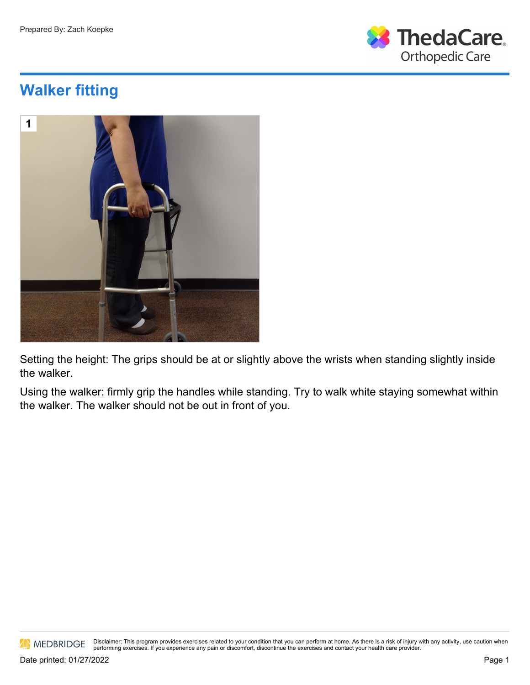

## **Walker fitting**



Setting the height: The grips should be at or slightly above the wrists when standing slightly inside the walker.

Using the walker: firmly grip the handles while standing. Try to walk white staying somewhat within the walker. The walker should not be out in front of you.

MEDBRIDGE

Disclaimer: This program provides exercises related to your condition that you can perform at home. As there is a risk of injury with any activity, use caution when performing exercises. If you experience any pain or discomfort, discontinue the exercises and contact your health care provider.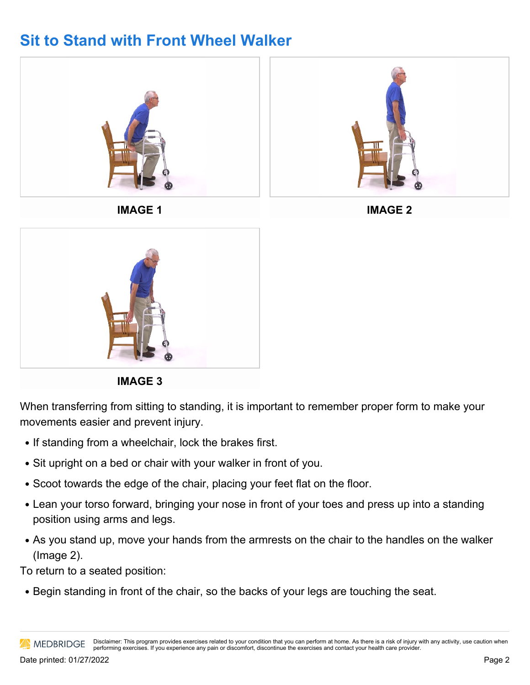## **Sit to Stand with Front Wheel Walker**



**IMAGE 3**

When transferring from sitting to standing, it is important to remember proper form to make your movements easier and prevent injury.

- If standing from a wheelchair, lock the brakes first.
- Sit upright on a bed or chair with your walker in front of you.
- Scoot towards the edge of the chair, placing your feet flat on the floor.
- Lean your torso forward, bringing your nose in front of your toes and press up into a standing position using arms and legs.
- As you stand up, move your hands from the armrests on the chair to the handles on the walker (Image 2).

To return to a seated position:

• Begin standing in front of the chair, so the backs of your legs are touching the seat.

Disclaimer: This program provides exercises related to your condition that you can perform at home. As there is a risk of injury with any activity, use caution when **AN MEDBRIDGE** performing exercises. If you experience any pain or discomfort, discontinue the exercises and contact your health care provider.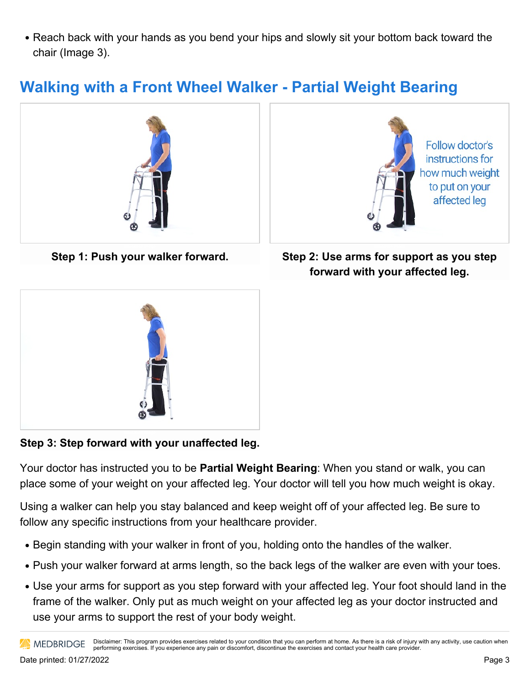• Reach back with your hands as you bend your hips and slowly sit your bottom back toward the chair (Image 3).

## **Walking with a Front Wheel Walker - Partial Weight Bearing**



**Step 1: Push your walker forward.**



**Step 2: Use arms for support as you step forward with your affected leg.**



**Step 3: Step forward with your unaffected leg.**

Your doctor has instructed you to be **Partial Weight Bearing**: When you stand or walk, you can place some of your weight on your affected leg. Your doctor will tell you how much weight is okay.

Using a walker can help you stay balanced and keep weight off of your affected leg. Be sure to follow any specific instructions from your healthcare provider.

- Begin standing with your walker in front of you, holding onto the handles of the walker.
- Push your walker forward at arms length, so the back legs of the walker are even with your toes.
- Use your arms for support as you step forward with your affected leg. Your foot should land in the frame of the walker. Only put as much weight on your affected leg as your doctor instructed and use your arms to support the rest of your body weight.

Disclaimer: This program provides exercises related to your condition that you can perform at home. As there is a risk of injury with any activity, use caution when **AN MEDBRIDGE** performing exercises. If you experience any pain or discomfort, discontinue the exercises and contact your health care provider.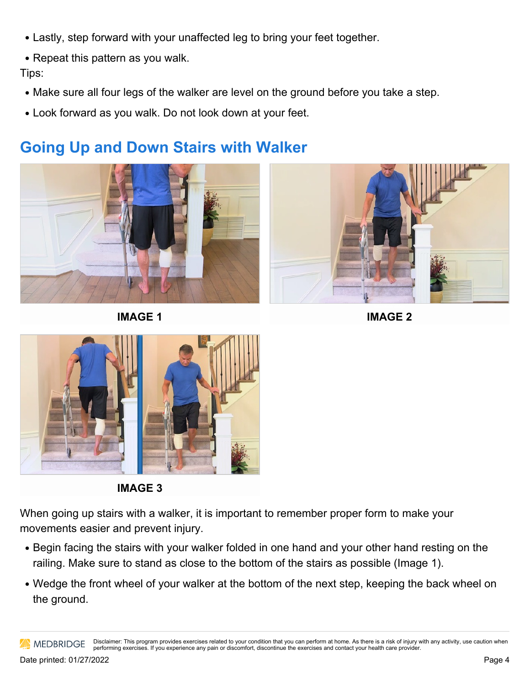- Lastly, step forward with your unaffected leg to bring your feet together.
- Repeat this pattern as you walk.

Tips:

- Make sure all four legs of the walker are level on the ground before you take a step.
- Look forward as you walk. Do not look down at your feet.

## **Going Up and Down Stairs with Walker**



**IMAGE 1**



**IMAGE 2**



**IMAGE 3**

When going up stairs with a walker, it is important to remember proper form to make your movements easier and prevent injury.

- Begin facing the stairs with your walker folded in one hand and your other hand resting on the railing. Make sure to stand as close to the bottom of the stairs as possible (Image 1).
- Wedge the front wheel of your walker at the bottom of the next step, keeping the back wheel on the ground.

Disclaimer: This program provides exercises related to your condition that you can perform at home. As there is a risk of injury with any activity, use caution when **MEDBRIDGE** performing exercises. If you experience any pain or discomfort, discontinue the exercises and contact your health care provider.